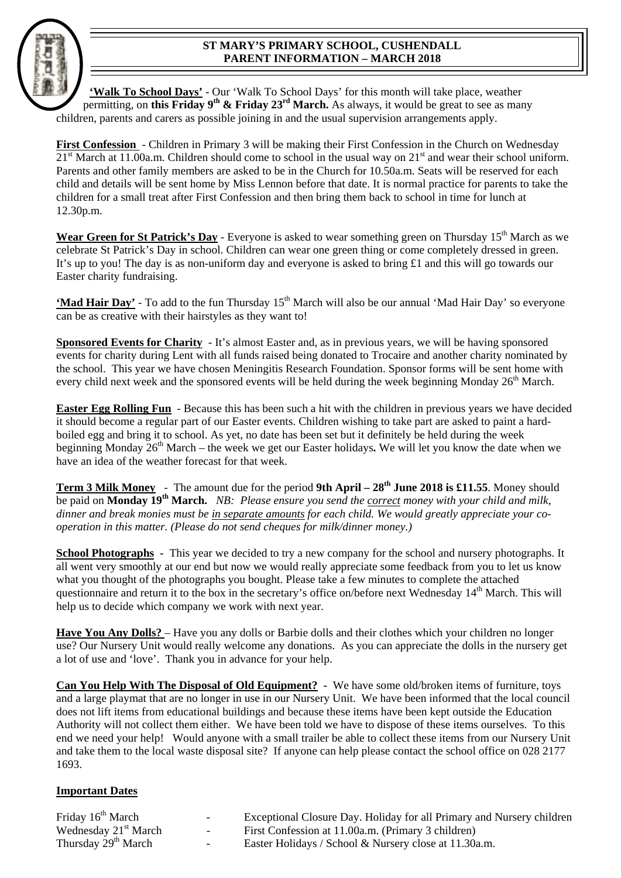## **ST MARY'S PRIMARY SCHOOL, CUSHENDALL PARENT INFORMATION – MARCH 2018**

**'Walk To School Days'** - Our 'Walk To School Days' for this month will take place, weather permitting, on this Friday 9<sup>th</sup> & Friday 23<sup>rd</sup> March. As always, it would be great to see as many children, parents and carers as possible joining in and the usual supervision arrangements apply.

**First Confession** - Children in Primary 3 will be making their First Confession in the Church on Wednesday  $21<sup>st</sup> March at 11.00a.m. Children should come to school in the usual way on 21<sup>st</sup> and wear their school uniform.$ Parents and other family members are asked to be in the Church for 10.50a.m. Seats will be reserved for each child and details will be sent home by Miss Lennon before that date. It is normal practice for parents to take the children for a small treat after First Confession and then bring them back to school in time for lunch at 12.30p.m.

**Wear Green for St Patrick's Day** - Everyone is asked to wear something green on Thursday 15<sup>th</sup> March as we celebrate St Patrick's Day in school. Children can wear one green thing or come completely dressed in green. It's up to you! The day is as non-uniform day and everyone is asked to bring £1 and this will go towards our Easter charity fundraising.

**'Mad Hair Day'** - To add to the fun Thursday 15<sup>th</sup> March will also be our annual 'Mad Hair Day' so everyone can be as creative with their hairstyles as they want to!

**Sponsored Events for Charity** - It's almost Easter and, as in previous years, we will be having sponsored events for charity during Lent with all funds raised being donated to Trocaire and another charity nominated by the school. This year we have chosen Meningitis Research Foundation. Sponsor forms will be sent home with every child next week and the sponsored events will be held during the week beginning Monday 26<sup>th</sup> March.

**Easter Egg Rolling Fun** - Because this has been such a hit with the children in previous years we have decided it should become a regular part of our Easter events. Children wishing to take part are asked to paint a hardboiled egg and bring it to school. As yet, no date has been set but it definitely be held during the week beginning Monday 26th March – the week we get our Easter holidays**.** We will let you know the date when we have an idea of the weather forecast for that week.

**Term 3 Milk Money** - The amount due for the period 9th April – 28<sup>th</sup> June 2018 is £11.55. Money should be paid on **Monday 19th March.** *NB: Please ensure you send the correct money with your child and milk, dinner and break monies must be in separate amounts for each child. We would greatly appreciate your cooperation in this matter. (Please do not send cheques for milk/dinner money.)* 

**School Photographs** - This year we decided to try a new company for the school and nursery photographs. It all went very smoothly at our end but now we would really appreciate some feedback from you to let us know what you thought of the photographs you bought. Please take a few minutes to complete the attached questionnaire and return it to the box in the secretary's office on/before next Wednesday  $14<sup>th</sup>$  March. This will help us to decide which company we work with next year.

Have You Any Dolls? – Have you any dolls or Barbie dolls and their clothes which your children no longer use? Our Nursery Unit would really welcome any donations. As you can appreciate the dolls in the nursery get a lot of use and 'love'. Thank you in advance for your help.

**Can You Help With The Disposal of Old Equipment? -** We have some old/broken items of furniture, toys and a large playmat that are no longer in use in our Nursery Unit. We have been informed that the local council does not lift items from educational buildings and because these items have been kept outside the Education Authority will not collect them either. We have been told we have to dispose of these items ourselves. To this end we need your help! Would anyone with a small trailer be able to collect these items from our Nursery Unit and take them to the local waste disposal site? If anyone can help please contact the school office on 028 2177 1693.

## **Important Dates**

| Friday 16 <sup>th</sup> March    | $\sim$ | Exceptional Closure Day. Holiday for all Primary and Nursery children |
|----------------------------------|--------|-----------------------------------------------------------------------|
| Wednesday 21 <sup>st</sup> March |        | First Confession at 11.00a.m. (Primary 3 children)                    |
| Thursday 29 <sup>th</sup> March  | $\sim$ | Easter Holidays / School & Nursery close at 11.30a.m.                 |